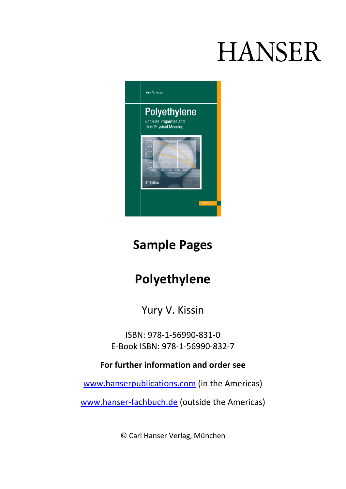# **HANSER**



### **Sample Pages**

# **Polyethylene**

Yury V. Kissin

ISBN: 978-1-56990-831-0 E-Book ISBN: 978-1-56990-832-7

**For further information and order see**

[www.hanserpublications.com](http://www.hanserpublications.com/) (in the Americas)

[www.hanser-fachbuch.de](http://www.hanser-fachbuch.de/) (outside the Americas)

© Carl Hanser Verlag, München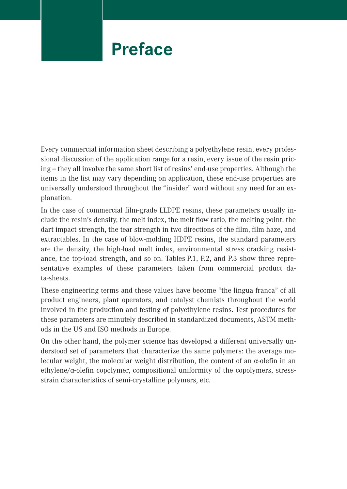### **Preface**

Every commercial information sheet describing a polyethylene resin, every professional discussion of the application range for a resin, every issue of the resin pricing – they all involve the same short list of resins' end-use properties. Although the items in the list may vary depending on application, these end-use properties are universally understood throughout the "insider" word without any need for an explanation.

In the case of commercial film-grade LLDPE resins, these parameters usually include the resin's density, the melt index, the melt flow ratio, the melting point, the dart impact strength, the tear strength in two directions of the film, film haze, and extractables. In the case of blow-molding HDPE resins, the standard parameters are the density, the high-load melt index, environmental stress cracking resistance, the top-load strength, and so on. Tables P.1, P.2, and P.3 show three representative examples of these parameters taken from commercial product data-sheets.

These engineering terms and these values have become "the lingua franca" of all product engineers, plant operators, and catalyst chemists throughout the world involved in the production and testing of polyethylene resins. Test procedures for these parameters are minutely described in standardized documents, ASTM methods in the US and ISO methods in Europe.

On the other hand, the polymer science has developed a different universally understood set of parameters that characterize the same polymers: the average molecular weight, the molecular weight distribution, the content of an  $\alpha$ -olefin in an ethylene/α-olefin copolymer, compositional uniformity of the copolymers, stressstrain characteristics of semi-crystalline polymers, etc.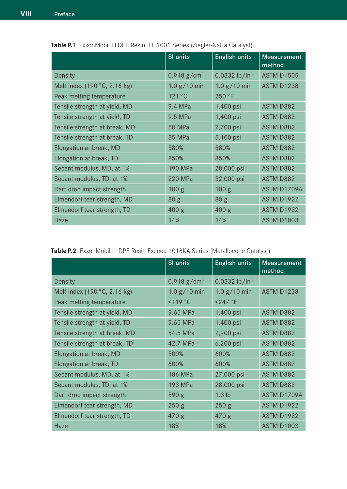|                                       | <b>SI units</b>           | <b>English units</b>        | <b>Measurement</b><br>method |
|---------------------------------------|---------------------------|-----------------------------|------------------------------|
| Density                               | $0.918$ g/cm <sup>3</sup> | $0.0332$ lb/in <sup>3</sup> | <b>ASTM D1505</b>            |
| Melt index (190 $\degree$ C, 2.16 kg) | 1.0 g / 10 min            | 1.0 g / 10 min              | <b>ASTM D1238</b>            |
| Peak melting temperature              | $121^{\circ}$ C           | 250 °F                      |                              |
| Tensile strength at yield, MD         | 9.4 MPa                   | 1,400 psi                   | <b>ASTM D882</b>             |
| Tensile strength at yield, TD         | 9.5 MPa                   | 1,400 psi                   | <b>ASTM D882</b>             |
| Tensile strength at break, MD         | <b>50 MPa</b>             | 7,700 psi                   | <b>ASTM D882</b>             |
| Tensile strength at break, TD         | 35 MPa                    | 5,100 psi                   | <b>ASTM D882</b>             |
| Elongation at break, MD               | 580%                      | 580%                        | <b>ASTM D882</b>             |
| Elongation at break, TD               | 850%                      | 850%                        | <b>ASTM D882</b>             |
| Secant modulus, MD, at 1%             | 190 MPa                   | 28,000 psi                  | <b>ASTM D882</b>             |
| Secant modulus, TD, at 1%             | 220 MPa                   | 32,000 psi                  | <b>ASTM D882</b>             |
| Dart drop impact strength             | 100 <sub>g</sub>          | 100 <sub>g</sub>            | ASTM D1709A                  |
| Elmendorf tear strength, MD           | 80 <sub>g</sub>           | 80 <sub>g</sub>             | <b>ASTM D1922</b>            |
| Elmendorf tear strength, TD           | 400 <sub>g</sub>          | 400 g                       | <b>ASTM D1922</b>            |
| Haze                                  | 14%                       | 14%                         | <b>ASTM D1003</b>            |

**Table P.1** ExxonMobil LLDPE Resin, LL 1001 Series (Ziegler-Natta Catalyst)

|  |  |  |  | Table P.2 ExxonMobil LLDPE Resin Exceed 1018KA Series (Metallocene Catalyst) |
|--|--|--|--|------------------------------------------------------------------------------|
|--|--|--|--|------------------------------------------------------------------------------|

|                                       | SI units                  | <b>English units</b>        | <b>Measurement</b><br>method |
|---------------------------------------|---------------------------|-----------------------------|------------------------------|
| Density                               | $0.918$ g/cm <sup>3</sup> | $0.0332$ lb/in <sup>3</sup> |                              |
| Melt index (190 $\degree$ C, 2.16 kg) | 1.0 g / 10 min            | 1.0 g / 10 min              | <b>ASTM D1238</b>            |
| Peak melting temperature              | $<119^{\circ}$ C          | $<$ 247 °F                  |                              |
| Tensile strength at yield, MD         | 9.65 MPa                  | 1,400 psi                   | <b>ASTM D882</b>             |
| Tensile strength at yield, TD         | 9.65 MPa                  | 1,400 psi                   | <b>ASTM D882</b>             |
| Tensile strength at break, MD         | 54.5 MPa                  | 7,900 psi                   | <b>ASTM D882</b>             |
| Tensile strength at break, TD         | 42.7 MPa                  | 6,200 psi                   | <b>ASTM D882</b>             |
| Elongation at break, MD               | 500%                      | 600%                        | <b>ASTM D882</b>             |
| Elongation at break, TD               | 600%                      | 600%                        | <b>ASTM D882</b>             |
| Secant modulus, MD, at 1%             | 186 MPa                   | 27,000 psi                  | <b>ASTM D882</b>             |
| Secant modulus, TD, at 1%             | 193 MPa                   | 28,000 psi                  | <b>ASTM D882</b>             |
| Dart drop impact strength             | 590 g                     | $1.3$ lb                    | ASTM D1709A                  |
| Elmendorf tear strength, MD           | 250 <sub>g</sub>          | 250 <sub>g</sub>            | <b>ASTM D1922</b>            |
| Elmendorf tear strength, TD           | 470 g                     | 470 g                       | <b>ASTM D1922</b>            |
| Haze                                  | 18%                       | 18%                         | <b>ASTM D1003</b>            |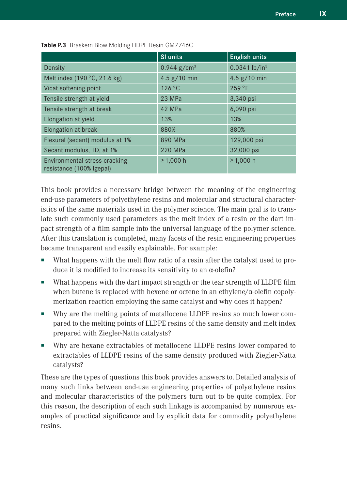|                                                           | SI units                  | <b>English units</b>        |
|-----------------------------------------------------------|---------------------------|-----------------------------|
| Density                                                   | $0.944$ g/cm <sup>3</sup> | $0.0341$ lb/in <sup>3</sup> |
| Melt index (190 °C, 21.6 kg)                              | 4.5 $g/10$ min            | 4.5 $g/10$ min              |
| Vicat softening point                                     | 126 °C                    | 259 °F                      |
| Tensile strength at yield                                 | 23 MPa                    | 3,340 psi                   |
| Tensile strength at break                                 | 42 MPa                    | 6,090 psi                   |
| Elongation at yield                                       | 13%                       | 13%                         |
| Elongation at break                                       | 880%                      | 880%                        |
| Flexural (secant) modulus at 1%                           | 890 MPa                   | 129,000 psi                 |
| Secant modulus, TD, at 1%                                 | 220 MPa                   | 32,000 psi                  |
| Environmental stress-cracking<br>resistance (100% Igepal) | ≥ 1,000 h                 | ≥ 1,000 h                   |

**Table P.3** Braskem Blow Molding HDPE Resin GM7746C

This book provides a necessary bridge between the meaning of the engineering end-use parameters of polyethylene resins and molecular and structural characteristics of the same materials used in the polymer science. The main goal is to translate such commonly used parameters as the melt index of a resin or the dart impact strength of a film sample into the universal language of the polymer science. After this translation is completed, many facets of the resin engineering properties became transparent and easily explainable. For example:

- What happens with the melt flow ratio of a resin after the catalyst used to produce it is modified to increase its sensitivity to an α-olefin?
- What happens with the dart impact strength or the tear strength of LLDPE film when butene is replaced with hexene or octene in an ethylene/α-olefin copolymerization reaction employing the same catalyst and why does it happen?
- Why are the melting points of metallocene LLDPE resins so much lower compared to the melting points of LLDPE resins of the same density and melt index prepared with Ziegler-Natta catalysts?
- Why are hexane extractables of metallocene LLDPE resins lower compared to extractables of LLDPE resins of the same density produced with Ziegler-Natta catalysts?

These are the types of questions this book provides answers to. Detailed analysis of many such links between end-use engineering properties of polyethylene resins and molecular characteristics of the polymers turn out to be quite complex. For this reason, the description of each such linkage is accompanied by numerous examples of practical significance and by explicit data for commodity polyethylene resins.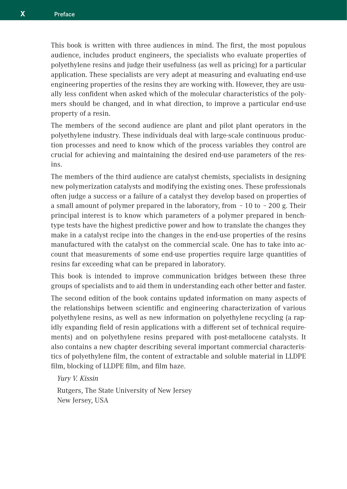This book is written with three audiences in mind. The first, the most populous audience, includes product engineers, the specialists who evaluate properties of polyethylene resins and judge their usefulness (as well as pricing) for a particular application. These specialists are very adept at measuring and evaluating end-use engineering properties of the resins they are working with. However, they are usually less confident when asked which of the molecular characteristics of the polymers should be changed, and in what direction, to improve a particular end-use property of a resin.

The members of the second audience are plant and pilot plant operators in the polyethylene industry. These individuals deal with large-scale continuous production processes and need to know which of the process variables they control are crucial for achieving and maintaining the desired end-use parameters of the resins.

The members of the third audience are catalyst chemists, specialists in designing new polymerization catalysts and modifying the existing ones. These professionals often judge a success or a failure of a catalyst they develop based on properties of a small amount of polymer prepared in the laboratory, from  $\sim$  10 to  $\sim$  200 g. Their principal interest is to know which parameters of a polymer prepared in benchtype tests have the highest predictive power and how to translate the changes they make in a catalyst recipe into the changes in the end-use properties of the resins manufactured with the catalyst on the commercial scale. One has to take into account that measurements of some end-use properties require large quantities of resins far exceeding what can be prepared in laboratory.

This book is intended to improve communication bridges between these three groups of specialists and to aid them in understanding each other better and faster.

The second edition of the book contains updated information on many aspects of the relationships between scientific and engineering characterization of various polyethylene resins, as well as new information on polyethylene recycling (a rapidly expanding field of resin applications with a different set of technical requirements) and on polyethylene resins prepared with post-metallocene catalysts. It also contains a new chapter describing several important commercial characteristics of polyethylene film, the content of extractable and soluble material in LLDPE film, blocking of LLDPE film, and film haze.

*Yury V. Kissin*

Rutgers, The State University of New Jersey New Jersey, USA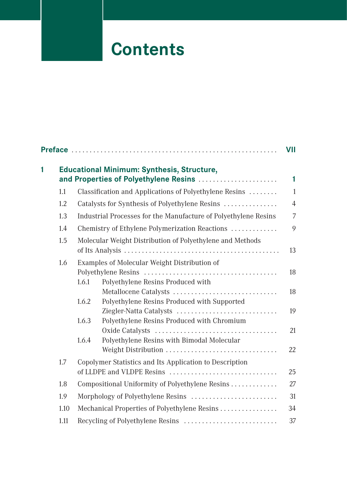# **Contents**

|   |      |                                                                                            | VII            |
|---|------|--------------------------------------------------------------------------------------------|----------------|
| 1 |      | <b>Educational Minimum: Synthesis, Structure,</b><br>and Properties of Polyethylene Resins | 1              |
|   | 1.1  | Classification and Applications of Polyethylene Resins                                     | $\mathbf{1}$   |
|   | 1.2  | Catalysts for Synthesis of Polyethylene Resins                                             | $\overline{4}$ |
|   | 1.3  | Industrial Processes for the Manufacture of Polyethylene Resins                            | 7              |
|   | 1.4  | Chemistry of Ethylene Polymerization Reactions                                             | 9              |
|   | 1.5  | Molecular Weight Distribution of Polyethylene and Methods                                  | 13             |
|   | 1.6  | Examples of Molecular Weight Distribution of<br>1.6.1<br>Polyethylene Resins Produced with | 18             |
|   |      | Metallocene Catalysts<br>Polyethylene Resins Produced with Supported<br>1.6.2              | 18             |
|   |      | Ziegler-Natta Catalysts                                                                    | 19             |
|   |      | Polyethylene Resins Produced with Chromium<br>1.6.3                                        | 21             |
|   |      | Polyethylene Resins with Bimodal Molecular<br>1.6.4<br>Weight Distribution                 | 22             |
|   | 1.7  | Copolymer Statistics and Its Application to Description<br>of LLDPE and VLDPE Resins       | 25             |
|   | 1.8  | Compositional Uniformity of Polyethylene Resins                                            | 27             |
|   | 1.9  |                                                                                            | 31             |
|   | 1.10 | Mechanical Properties of Polyethylene Resins                                               | 34             |
|   | 1.11 | Recycling of Polyethylene Resins                                                           | 37             |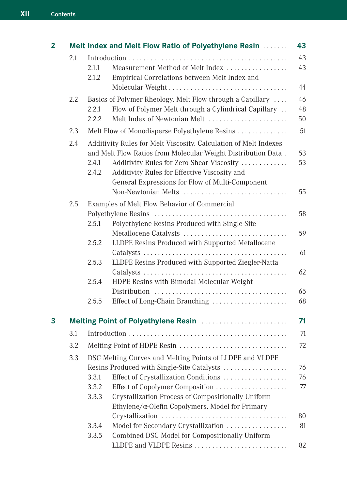| 2 |     |                | Melt Index and Melt Flow Ratio of Polyethylene Resin                                                                                                                                                                                                                                                     | 43             |
|---|-----|----------------|----------------------------------------------------------------------------------------------------------------------------------------------------------------------------------------------------------------------------------------------------------------------------------------------------------|----------------|
|   | 2.1 |                |                                                                                                                                                                                                                                                                                                          | 43             |
|   |     | 2.1.1<br>2.1.2 | Measurement Method of Melt Index<br>Empirical Correlations between Melt Index and                                                                                                                                                                                                                        | 43             |
|   |     |                | Molecular Weight                                                                                                                                                                                                                                                                                         | 44             |
|   | 2.2 |                | Basics of Polymer Rheology. Melt Flow through a Capillary                                                                                                                                                                                                                                                | 46             |
|   |     | 2.2.1<br>2.2.2 | Flow of Polymer Melt through a Cylindrical Capillary<br>Melt Index of Newtonian Melt                                                                                                                                                                                                                     | 48<br>50       |
|   | 2.3 |                | Melt Flow of Monodisperse Polyethylene Resins                                                                                                                                                                                                                                                            | 51             |
|   | 2.4 | 2.4.1<br>2.4.2 | Additivity Rules for Melt Viscosity. Calculation of Melt Indexes<br>and Melt Flow Ratios from Molecular Weight Distribution Data.<br>Additivity Rules for Zero-Shear Viscosity<br>Additivity Rules for Effective Viscosity and<br>General Expressions for Flow of Multi-Component<br>Non-Newtonian Melts | 53<br>53<br>55 |
|   | 2.5 |                | Examples of Melt Flow Behavior of Commercial                                                                                                                                                                                                                                                             |                |
|   |     | 2.5.1          | Polyethylene Resins Produced with Single-Site                                                                                                                                                                                                                                                            | 58             |
|   |     | 2.5.2          | Metallocene Catalysts<br>LLDPE Resins Produced with Supported Metallocene                                                                                                                                                                                                                                | 59             |
|   |     | 2.5.3          | LLDPE Resins Produced with Supported Ziegler-Natta                                                                                                                                                                                                                                                       | 61             |
|   |     | 2.5.4          | HDPE Resins with Bimodal Molecular Weight                                                                                                                                                                                                                                                                | 62             |
|   |     | 2.5.5          | Effect of Long-Chain Branching                                                                                                                                                                                                                                                                           | 65<br>68       |
| 3 |     |                | Melting Point of Polyethylene Resin                                                                                                                                                                                                                                                                      | 71             |
|   | 3.1 |                |                                                                                                                                                                                                                                                                                                          | 71             |
|   | 3.2 |                |                                                                                                                                                                                                                                                                                                          | 72             |
|   | 3.3 |                | DSC Melting Curves and Melting Points of LLDPE and VLDPE                                                                                                                                                                                                                                                 |                |
|   |     |                | Resins Produced with Single-Site Catalysts                                                                                                                                                                                                                                                               | 76             |
|   |     | 3.3.1          | Effect of Crystallization Conditions                                                                                                                                                                                                                                                                     | 76             |
|   |     | 3.3.2<br>3.3.3 | Effect of Copolymer Composition<br>Crystallization Process of Compositionally Uniform<br>Ethylene/α-Olefin Copolymers. Model for Primary                                                                                                                                                                 | 77             |
|   |     |                |                                                                                                                                                                                                                                                                                                          | 80             |
|   |     | 3.3.4<br>3.3.5 | Model for Secondary Crystallization<br>Combined DSC Model for Compositionally Uniform                                                                                                                                                                                                                    | 81             |
|   |     |                | LLDPE and VLDPE Resins                                                                                                                                                                                                                                                                                   | 82             |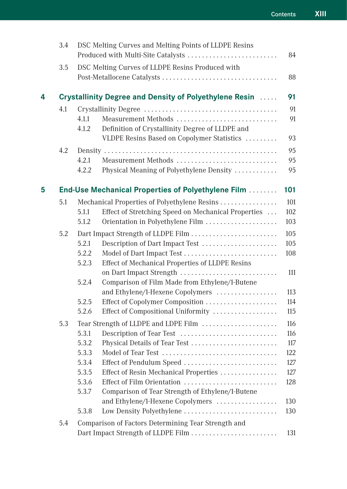|   | 3.4 |                | DSC Melting Curves and Melting Points of LLDPE Resins<br>Produced with Multi-Site Catalysts | 84         |
|---|-----|----------------|---------------------------------------------------------------------------------------------|------------|
|   | 3.5 |                | DSC Melting Curves of LLDPE Resins Produced with                                            |            |
|   |     |                |                                                                                             | 88         |
| 4 |     |                | Crystallinity Degree and Density of Polyethylene Resin                                      | 91         |
|   | 4.1 |                |                                                                                             | 91         |
|   |     | 4.1.1<br>4.1.2 | Measurement Methods<br>Definition of Crystallinity Degree of LLDPE and                      | 91         |
|   |     |                | VLDPE Resins Based on Copolymer Statistics                                                  | 93         |
|   | 4.2 |                |                                                                                             | 95         |
|   |     | 4.2.1          | Measurement Methods                                                                         | 95         |
|   |     | 4.2.2          | Physical Meaning of Polyethylene Density                                                    | 95         |
| 5 |     |                | <b>End-Use Mechanical Properties of Polyethylene Film </b>                                  | 101        |
|   | 5.1 |                | Mechanical Properties of Polyethylene Resins                                                | 101        |
|   |     | 5.1.1          | Effect of Stretching Speed on Mechanical Properties                                         | 102        |
|   |     | 5.1.2          | Orientation in Polyethylene Film                                                            | 103        |
|   | 5.2 |                |                                                                                             | 105        |
|   |     | 5.2.1          | Description of Dart Impact Test                                                             | 105        |
|   |     | 5.2.2          | Model of Dart Impact Test                                                                   | 108        |
|   |     | 5.2.3          | Effect of Mechanical Properties of LLDPE Resins                                             |            |
|   |     |                | on Dart Impact Strength                                                                     | 111        |
|   |     | 5.2.4          | Comparison of Film Made from Ethylene/1-Butene                                              |            |
|   |     |                | and Ethylene/1-Hexene Copolymers                                                            | 113        |
|   |     | 5.2.5<br>5.2.6 |                                                                                             | 114        |
|   |     |                | Effect of Compositional Uniformity                                                          | 115        |
|   | 5.3 |                | Tear Strength of LLDPE and LDPE Film                                                        | 116        |
|   |     | 5.3.1          | Description of Tear Test                                                                    | 116        |
|   |     | 5.3.2<br>5.3.3 | Physical Details of Tear Test                                                               | 117        |
|   |     | 5.3.4          | Effect of Pendulum Speed                                                                    | 122<br>127 |
|   |     | 5.3.5          | Effect of Resin Mechanical Properties                                                       | 127        |
|   |     | 5.3.6          | Effect of Film Orientation                                                                  | 128        |
|   |     | 5.3.7          | Comparison of Tear Strength of Ethylene/1-Butene                                            |            |
|   |     |                | and Ethylene/1-Hexene Copolymers                                                            | 130        |
|   |     | 5.3.8          | Low Density Polyethylene                                                                    | 130        |
|   | 5.4 |                | Comparison of Factors Determining Tear Strength and                                         |            |
|   |     |                | Dart Impact Strength of LLDPE Film                                                          | 131        |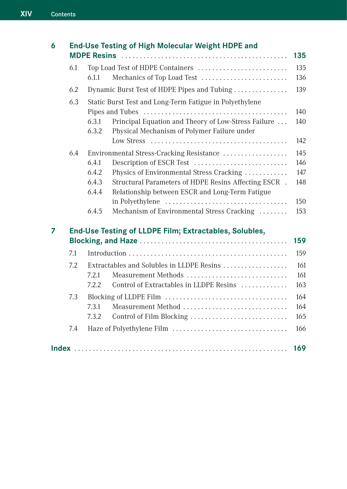| 6 |     | End-Use Testing of High Molecular Weight HDPE and                                                                    | 135 |
|---|-----|----------------------------------------------------------------------------------------------------------------------|-----|
|   | 6.1 | Top Load Test of HDPE Containers                                                                                     | 135 |
|   |     | Mechanics of Top Load Test<br>6.1.1                                                                                  | 136 |
|   | 6.2 | Dynamic Burst Test of HDPE Pipes and Tubing                                                                          | 139 |
|   | 6.3 | Static Burst Test and Long-Term Fatigue in Polyethylene                                                              |     |
|   |     |                                                                                                                      | 140 |
|   |     | Principal Equation and Theory of Low-Stress Failure<br>6.3.1<br>Physical Mechanism of Polymer Failure under<br>6.3.2 | 140 |
|   |     |                                                                                                                      | 142 |
|   | 6.4 | Environmental Stress-Cracking Resistance                                                                             | 145 |
|   |     | 6.4.1<br>Description of ESCR Test                                                                                    | 146 |
|   |     | Physics of Environmental Stress Cracking<br>6.4.2                                                                    | 147 |
|   |     | 6.4.3<br>Structural Parameters of HDPE Resins Affecting ESCR.                                                        | 148 |
|   |     | 6.4.4<br>Relationship between ESCR and Long-Term Fatigue                                                             |     |
|   |     |                                                                                                                      | 150 |
|   |     | 6.4.5<br>Mechanism of Environmental Stress Cracking                                                                  | 153 |
| 7 |     | End-Use Testing of LLDPE Film; Extractables, Solubles,                                                               |     |
|   |     |                                                                                                                      | 159 |
|   | 7.1 |                                                                                                                      | 159 |
|   | 7.2 | Extractables and Solubles in LLDPE Resins                                                                            | 161 |
|   |     | Measurement Methods<br>7.2.1                                                                                         | 161 |
|   |     | Control of Extractables in LLDPE Resins<br>7.2.2                                                                     | 163 |
|   | 7.3 |                                                                                                                      | 164 |
|   |     | Measurement Method<br>7.3.1                                                                                          | 164 |
|   |     | 7.3.2<br>Control of Film Blocking                                                                                    | 165 |
|   | 7.4 | Haze of Polyethylene Film                                                                                            | 166 |
|   |     |                                                                                                                      | 169 |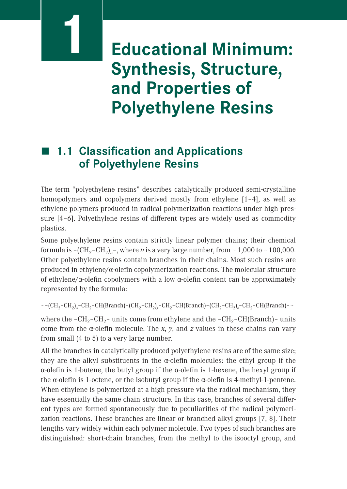## **Educational Minimum: Synthesis, Structure, and Properties of Polyethylene Resins**

### ■ 1.1 **Classification and Applications of Polyethylene Resins**

**1**

The term "polyethylene resins" describes catalytically produced semi-crystalline homopolymers and copolymers derived mostly from ethylene [1–4], as well as ethylene polymers produced in radical polymerization reactions under high pressure [4–6]. Polyethylene resins of different types are widely used as commodity plastics.

Some polyethylene resins contain strictly linear polymer chains; their chemical formula is  $-(CH_2-CH_2)_n$ <sup>-</sup>, where *n* is a very large number, from  $\sim$  1,000 to  $\sim$  100,000. Other polyethylene resins contain branches in their chains. Most such resins are produced in ethylene/ $\alpha$ -olefin copolymerization reactions. The molecular structure of ethylene/α-olefin copolymers with a low α-olefin content can be approximately represented by the formula:

∼ –(CH2–CH2)*x*–CH2–CH(Branch)–(CH2–CH2)*y*–CH2–CH(Branch)–(CH2–CH2)*z*–CH2–CH(Branch)– ∼

where the –CH<sub>2</sub>–CH<sub>2</sub>– units come from ethylene and the –CH<sub>2</sub>–CH(Branch)– units come from the α-olefin molecule. The *x*, *y*, and *z* values in these chains can vary from small (4 to 5) to a very large number.

All the branches in catalytically produced polyethylene resins are of the same size; they are the alkyl substituents in the  $\alpha$ -olefin molecules: the ethyl group if the α-olefin is 1-butene, the butyl group if the α-olefin is 1-hexene, the hexyl group if the  $\alpha$ -olefin is 1-octene, or the isobutyl group if the  $\alpha$ -olefin is 4-methyl-1-pentene. When ethylene is polymerized at a high pressure via the radical mechanism, they have essentially the same chain structure. In this case, branches of several different types are formed spontaneously due to peculiarities of the radical polymerization reactions. These branches are linear or branched alkyl groups [7, 8]. Their lengths vary widely within each polymer molecule. Two types of such branches are distinguished: short-chain branches, from the methyl to the isooctyl group, and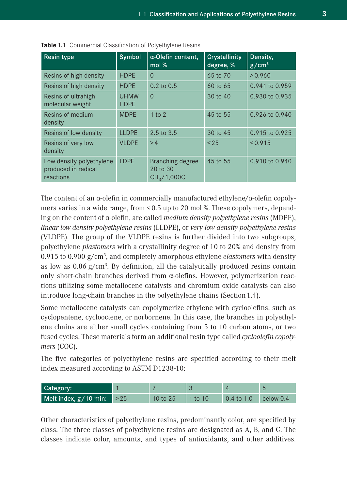| <b>Resin type</b>                                            | Symbol              | $\alpha$ -Olefin content,<br>mol %                      | Crystallinity<br>degree, % | Density,<br>g/cm <sup>3</sup> |
|--------------------------------------------------------------|---------------------|---------------------------------------------------------|----------------------------|-------------------------------|
| Resins of high density                                       | <b>HDPE</b>         | $\Omega$                                                | 65 to 70                   | > 0.960                       |
| Resins of high density                                       | <b>HDPE</b>         | $0.2$ to $0.5$                                          | 60 to 65                   | 0.941 to 0.959                |
| Resins of ultrahigh<br>molecular weight                      | UHMW<br><b>HDPE</b> | $\Omega$                                                | 30 to 40                   | 0.930 to 0.935                |
| Resins of medium<br>density                                  | <b>MDPE</b>         | $1$ to $2$                                              | 45 to 55                   | 0.926 to 0.940                |
| Resins of low density                                        | <b>LLDPE</b>        | 2.5 to 3.5                                              | 30 to 45                   | 0.915 to 0.925                |
| Resins of very low<br>density                                | <b>VI DPF</b>       | >4                                                      | < 25                       | < 0.915                       |
| Low density polyethylene<br>produced in radical<br>reactions | <b>IDPF</b>         | Branching degree<br>20 to 30<br>CH <sub>3</sub> /1,000C | 45 to 55                   | 0.910 to 0.940                |

**Table 1.1** Commercial Classification of Polyethylene Resins

The content of an  $\alpha$ -olefin in commercially manufactured ethylene/ $\alpha$ -olefin copolymers varies in a wide range, from < 0.5 up to 20 mol %. These copolymers, depending on the content of α-olefin, are called *medium density polyethylene resins* (MDPE), *linear low density polyethylene resins* (LLDPE), or *very low density polyethylene resins* (VLDPE). The group of the VLDPE resins is further divided into two subgroups, polyethylene *plastomers* with a crystallinity degree of 10 to 20% and density from 0.915 to 0.900 g /cm3 , and completely amorphous ethylene *elastomers* with density as low as  $0.86$   $g/cm<sup>3</sup>$ . By definition, all the catalytically produced resins contain only short-chain branches derived from α-olefins. However, polymerization reactions utilizing some metallocene catalysts and chromium oxide catalysts can also introduce long-chain branches in the polyethylene chains (Section 1.4).

Some metallocene catalysts can copolymerize ethylene with cycloolefins, such as cyclopentene, cyclooctene, or norbornene. In this case, the branches in polyethylene chains are either small cycles containing from 5 to 10 carbon atoms, or two fused cycles. These materials form an additional resin type called *cycloolefin copolymers* (COC).

The five categories of polyethylene resins are specified according to their melt index measured according to ASTM D1238-10:

| Category:                         |            |           |                       |           |
|-----------------------------------|------------|-----------|-----------------------|-----------|
| Melt index, $g/10$ min: $\geq 25$ | 10 to $25$ | $1$ to 10 | $0.4 \text{ to } 1.0$ | below 0.4 |

Other characteristics of polyethylene resins, predominantly color, are specified by class. The three classes of polyethylene resins are designated as A, B, and C. The classes indicate color, amounts, and types of antioxidants, and other additives.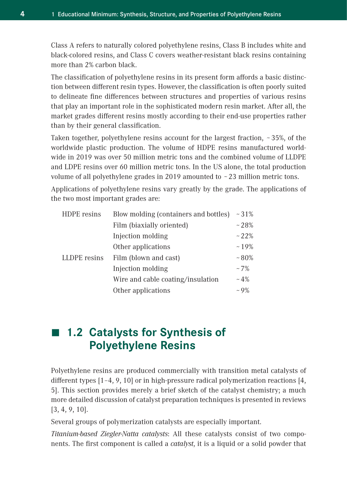Class A refers to naturally colored polyethylene resins, Class B includes white and black-colored resins, and Class C covers weather-resistant black resins containing more than 2% carbon black.

The classification of polyethylene resins in its present form affords a basic distinction between different resin types. However, the classification is often poorly suited to delineate fine differences between structures and properties of various resins that play an important role in the sophisticated modern resin market. After all, the market grades different resins mostly according to their end-use properties rather than by their general classification.

Taken together, polyethylene resins account for the largest fraction,  $\sim$  35%, of the worldwide plastic production. The volume of HDPE resins manufactured worldwide in 2019 was over 50 million metric tons and the combined volume of LLDPE and LDPE resins over 60 million metric tons. In the US alone, the total production volume of all polyethylene grades in 2019 amounted to  $\sim$  23 million metric tons.

Applications of polyethylene resins vary greatly by the grade. The applications of the two most important grades are:

| HDPE resins  | Blow molding (containers and bottles) | $~1\%$        |
|--------------|---------------------------------------|---------------|
|              | Film (biaxially oriented)             | ~128%         |
|              | Injection molding                     | ~122%         |
|              | Other applications                    | ~19%          |
| LLDPE resins | Film (blown and cast)                 | $~1.80\%$     |
|              | Injection molding                     | $~17\%$       |
|              | Wire and cable coating/insulation     | $~10^{\circ}$ |
|              | Other applications                    | $~10\%$       |

### ■ 1.2 **Catalysts for Synthesis of Polyethylene Resins**

Polyethylene resins are produced commercially with transition metal catalysts of different types [1–4, 9, 10] or in high-pressure radical polymerization reactions [4, 5]. This section provides merely a brief sketch of the catalyst chemistry; a much more detailed discussion of catalyst preparation techniques is presented in reviews [3, 4, 9, 10].

Several groups of polymerization catalysts are especially important.

*Titanium-based Ziegler-Natta catalysts*: All these catalysts consist of two components. The first component is called a *catalyst*, it is a liquid or a solid powder that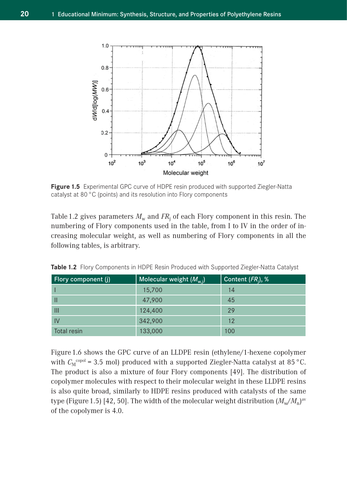

**Figure 1.5** Experimental GPC curve of HDPE resin produced with supported Ziegler-Natta catalyst at 80 °C (points) and its resolution into Flory components

Table 1.2 gives parameters  $M_{\rm w}$  and  $FR_{\rm j}$  of each Flory component in this resin. The numbering of Flory components used in the table, from I to IV in the order of increasing molecular weight, as well as numbering of Flory components in all the following tables, is arbitrary.

| Flory component (j) | Molecular weight $(M_{w,i})$ | Content $(FR_i)$ , % |
|---------------------|------------------------------|----------------------|
|                     | 15,700                       | 14                   |
| Ш                   | 47,900                       | 45                   |
| Ш                   | 124,400                      | 29                   |
| IV                  | 342,900                      | 12                   |
| Total resin         | 133,000                      | 100                  |

**Table 1.2** Flory Components in HDPE Resin Produced with Supported Ziegler-Natta Catalyst

Figure 1.6 shows the GPC curve of an LLDPE resin (ethylene/1-hexene copolymer with  $C_M^{\text{copol}} = 3.5$  mol) produced with a supported Ziegler-Natta catalyst at 85 °C. The product is also a mixture of four Flory components [49]. The distribution of copolymer molecules with respect to their molecular weight in these LLDPE resins is also quite broad, similarly to HDPE resins produced with catalysts of the same type (Figure 1.5) [42, 50]. The width of the molecular weight distribution  $(M_{\rm w}/M_{\rm n})^{\rm av}$ of the copolymer is 4.0.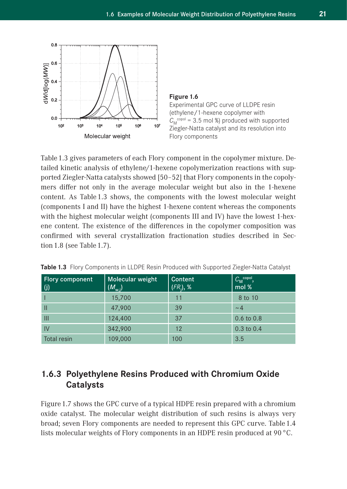



Table 1.3 gives parameters of each Flory component in the copolymer mixture. Detailed kinetic analysis of ethylene/1-hexene copolymerization reactions with supported Ziegler-Natta catalysts showed [50–52] that Flory components in the copolymers differ not only in the average molecular weight but also in the 1-hexene content. As Table 1.3 shows, the components with the lowest molecular weight (components I and II) have the highest 1-hexene content whereas the components with the highest molecular weight (components III and IV) have the lowest 1-hexene content. The existence of the differences in the copolymer composition was confirmed with several crystallization fractionation studies described in Section 1.8 (see Table 1.7).

| Flory component<br>(j) | Molecular weight<br>$(M_{\rm w,i})$ | Content<br>$(FR_i)$ , % | $C_M^{\text{copol}}$<br>mol % |
|------------------------|-------------------------------------|-------------------------|-------------------------------|
|                        | 15,700                              | 11                      | 8 to 10                       |
| Ш                      | 47,900                              | 39                      | $\sim$ 4                      |
| Ш                      | 124,400                             | 37                      | $0.6 \text{ to } 0.8$         |
| IV                     | 342,900                             | 12                      | $0.3 \text{ to } 0.4$         |
| <b>Total resin</b>     | 109,000                             | 100                     | 3.5                           |

**Table 1.3** Flory Components in LLDPE Resin Produced with Supported Ziegler-Natta Catalyst

#### **1.6.3 Polyethylene Resins Produced with Chromium Oxide Catalysts**

Figure 1.7 shows the GPC curve of a typical HDPE resin prepared with a chromium oxide catalyst. The molecular weight distribution of such resins is always very broad; seven Flory components are needed to represent this GPC curve. Table 1.4 lists molecular weights of Flory components in an HDPE resin produced at 90 °C.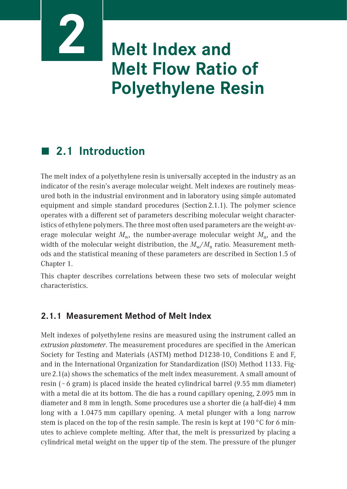# **Melt Index and Melt Flow Ratio of Polyethylene Resin**

### **2.1 Introduction**

**2**

The melt index of a polyethylene resin is universally accepted in the industry as an indicator of the resin's average molecular weight. Melt indexes are routinely measured both in the industrial environment and in laboratory using simple automated equipment and simple standard procedures (Section 2.1.1). The polymer science operates with a different set of parameters describing molecular weight characteristics of ethylene polymers. The three most often used parameters are the weight-average molecular weight  $M_{\rm w}$ , the number-average molecular weight  $M_{\rm n}$ , and the width of the molecular weight distribution, the  $M_w/M$ <sub>n</sub> ratio. Measurement methods and the statistical meaning of these parameters are described in Section 1.5 of Chapter 1.

This chapter describes correlations between these two sets of molecular weight characteristics.

#### **2.1.1 Measurement Method of Melt Index**

Melt indexes of polyethylene resins are measured using the instrument called an *extrusion plastometer*. The measurement procedures are specified in the American Society for Testing and Materials (ASTM) method D1238-10, Conditions E and F, and in the International Organization for Standardization (ISO) Method 1133. Figure 2.1(a) shows the schematics of the melt index measurement. A small amount of resin ( $\sim$  6 gram) is placed inside the heated cylindrical barrel (9.55 mm diameter) with a metal die at its bottom. The die has a round capillary opening, 2.095 mm in diameter and 8 mm in length. Some procedures use a shorter die (a half-die) 4 mm long with a 1.0475 mm capillary opening. A metal plunger with a long narrow stem is placed on the top of the resin sample. The resin is kept at 190 °C for 6 minutes to achieve complete melting. After that, the melt is pressurized by placing a cylindrical metal weight on the upper tip of the stem. The pressure of the plunger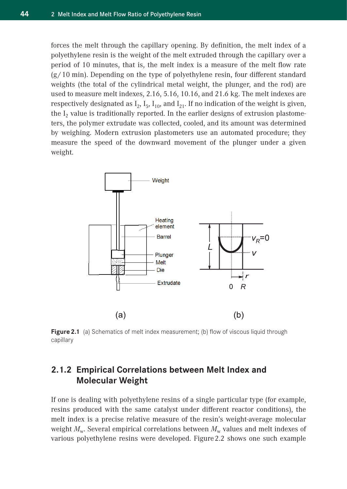forces the melt through the capillary opening. By definition, the melt index of a polyethylene resin is the weight of the melt extruded through the capillary over a period of 10 minutes, that is, the melt index is a measure of the melt flow rate  $(g/10 \text{ min})$ . Depending on the type of polyethylene resin, four different standard weights (the total of the cylindrical metal weight, the plunger, and the rod) are used to measure melt indexes, 2.16, 5.16, 10.16, and 21.6 kg. The melt indexes are respectively designated as  $I_2$ ,  $I_5$ ,  $I_{10}$ , and  $I_{21}$ . If no indication of the weight is given, the  $I_2$  value is traditionally reported. In the earlier designs of extrusion plastometers, the polymer extrudate was collected, cooled, and its amount was determined by weighing. Modern extrusion plastometers use an automated procedure; they measure the speed of the downward movement of the plunger under a given weight.



**Figure 2.1** (a) Schematics of melt index measurement; (b) flow of viscous liquid through capillary

#### **2.1.2 Empirical Correlations between Melt Index and Molecular Weight**

If one is dealing with polyethylene resins of a single particular type (for example, resins produced with the same catalyst under different reactor conditions), the melt index is a precise relative measure of the resin's weight-average molecular weight  $M_w$ . Several empirical correlations between  $M_w$  values and melt indexes of various polyethylene resins were developed. Figure 2.2 shows one such example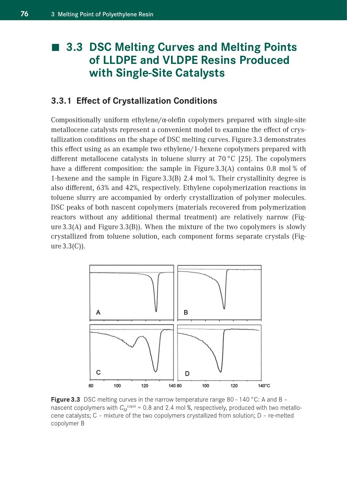### **3.3 DSC Melting Curves and Melting Points of LLDPE and VLDPE Resins Produced with Single-Site Catalysts**

#### **3.3.1 Effect of Crystallization Conditions**

Compositionally uniform ethylene $\alpha$ -olefin copolymers prepared with single-site metallocene catalysts represent a convenient model to examine the effect of crystallization conditions on the shape of DSC melting curves. Figure 3.3 demonstrates this effect using as an example two ethylene / 1-hexene copolymers prepared with different metallocene catalysts in toluene slurry at 70 °C [25]. The copolymers have a different composition: the sample in Figure 3.3(A) contains 0.8 mol % of 1-hexene and the sample in Figure 3.3(B) 2.4 mol %. Their crystallinity degree is also different, 63% and 42%, respectively. Ethylene copolymerization reactions in toluene slurry are accompanied by orderly crystallization of polymer molecules. DSC peaks of both nascent copolymers (materials recovered from polymerization reactors without any additional thermal treatment) are relatively narrow (Figure $3.3(A)$  and Figure $3.3(B)$ ). When the mixture of the two copolymers is slowly crystallized from toluene solution, each component forms separate crystals (Figure 3.3(C)).



**Figure 3.3** DSC melting curves in the narrow temperature range 80 – 140 °C: A and B – nascent copolymers with  $C_{\sf M}^{\sf copol}$  = 0.8 and 2.4 mol %, respectively, produced with two metallocene catalysts; C – mixture of the two copolymers crystallized from solution; D – re-melted copolymer B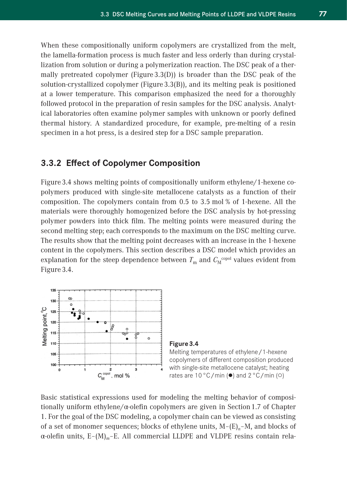When these compositionally uniform copolymers are crystallized from the melt, the lamella-formation process is much faster and less orderly than during crystallization from solution or during a polymerization reaction. The DSC peak of a thermally pretreated copolymer (Figure 3.3(D)) is broader than the DSC peak of the solution-crystallized copolymer (Figure 3.3(B)), and its melting peak is positioned at a lower temperature. This comparison emphasized the need for a thoroughly followed protocol in the preparation of resin samples for the DSC analysis. Analytical laboratories often examine polymer samples with unknown or poorly defined thermal history. A standardized procedure, for example, pre-melting of a resin specimen in a hot press, is a desired step for a DSC sample preparation.

#### **3.3.2 Effect of Copolymer Composition**

Figure 3.4 shows melting points of compositionally uniform ethylene $/1$ -hexene copolymers produced with single-site metallocene catalysts as a function of their composition. The copolymers contain from 0.5 to 3.5 mol % of 1-hexene. All the materials were thoroughly homogenized before the DSC analysis by hot-pressing polymer powders into thick film. The melting points were measured during the second melting step; each corresponds to the maximum on the DSC melting curve. The results show that the melting point decreases with an increase in the 1-hexene content in the copolymers. This section describes a DSC model which provides an explanation for the steep dependence between  $T_{\mathrm{m}}$  and  $C_{\mathrm{M}}^{\mathrm{copol}}$  values evident from Figure 3.4.



#### **Figure 3.4**

Melting temperatures of ethylene / 1-hexene copolymers of different composition produced with single-site metallocene catalyst; heating rates are  $10\degree C/m$ in ( $\bullet$ ) and  $2\degree C/m$ in ( $\circ$ )

Basic statistical expressions used for modeling the melting behavior of compositionally uniform ethylene $\alpha$ -olefin copolymers are given in Section 1.7 of Chapter 1. For the goal of the DSC modeling, a copolymer chain can be viewed as consisting of a set of monomer sequences; blocks of ethylene units, M–(E)*n*–M, and blocks of α-olefin units, E–(M)*m*–E. All commercial LLDPE and VLDPE resins contain rela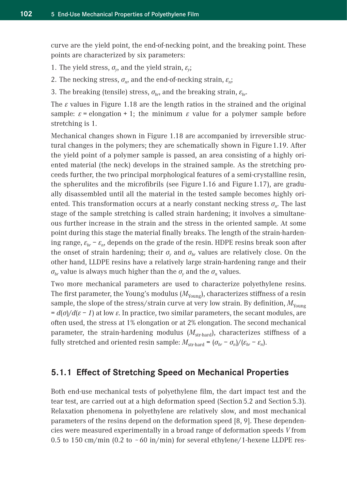curve are the yield point, the end-of-necking point, and the breaking point. These points are characterized by six parameters:

1. The yield stress,  $\sigma_{\nu}$ , and the yield strain,  $\varepsilon_{\nu}$ ;

- 2. The necking stress,  $\sigma_n$ , and the end-of-necking strain,  $\varepsilon_n$ ;
- 3. The breaking (tensile) stress,  $\sigma_{hr}$ , and the breaking strain,  $\varepsilon_{hr}$ .

The  $\varepsilon$  values in Figure 1.18 are the length ratios in the strained and the original sample:  $\varepsilon$  = elongation + 1; the minimum  $\varepsilon$  value for a polymer sample before stretching is 1.

Mechanical changes shown in Figure 1.18 are accompanied by irreversible structural changes in the polymers; they are schematically shown in Figure 1.19. After the yield point of a polymer sample is passed, an area consisting of a highly oriented material (the neck) develops in the strained sample. As the stretching proceeds further, the two principal morphological features of a semi-crystalline resin, the spherulites and the microfibrils (see Figure 1.16 and Figure 1.17), are gradually disassembled until all the material in the tested sample becomes highly oriented. This transformation occurs at a nearly constant necking stress *σ<sub>n</sub>*. The last stage of the sample stretching is called strain hardening; it involves a simultaneous further increase in the strain and the stress in the oriented sample. At some point during this stage the material finally breaks. The length of the strain-hardening range,  $\varepsilon_{hr}$  −  $\varepsilon_n$ , depends on the grade of the resin. HDPE resins break soon after the onset of strain hardening; their  $\sigma_v$  and  $\sigma_{br}$  values are relatively close. On the other hand, LLDPE resins have a relatively large strain-hardening range and their  $\sigma_{br}$  value is always much higher than the  $\sigma_{v}$  and the  $\sigma_{n}$  values.

Two more mechanical parameters are used to characterize polyethylene resins. The first parameter, the Young's modulus  $(M_{\text{Youno}})$ , characterizes stiffness of a resin sample, the slope of the stress/strain curve at very low strain. By definition,  $M_{\text{Youno}}$  $d(\sigma)/d(\epsilon - 1)$  at low  $\epsilon$ . In practice, two similar parameters, the secant modules, are often used, the stress at 1% elongation or at 2% elongation. The second mechanical parameter, the strain-hardening modulus  $(M_{str\text{-}hard})$ , characterizes stiffness of a fully stretched and oriented resin sample:  $M_{\text{str-hard}} = (\sigma_{br} - \sigma_n)/(\varepsilon_{br} - \varepsilon_n)$ .

#### **5.1.1 Effect of Stretching Speed on Mechanical Properties**

Both end-use mechanical tests of polyethylene film, the dart impact test and the tear test, are carried out at a high deformation speed (Section 5.2 and Section 5.3). Relaxation phenomena in polyethylene are relatively slow, and most mechanical parameters of the resins depend on the deformation speed [8, 9]. These dependencies were measured experimentally in a broad range of deformation speeds *V* from 0.5 to 150 cm/min (0.2 to  $\sim$  60 in/min) for several ethylene/1-hexene LLDPE res-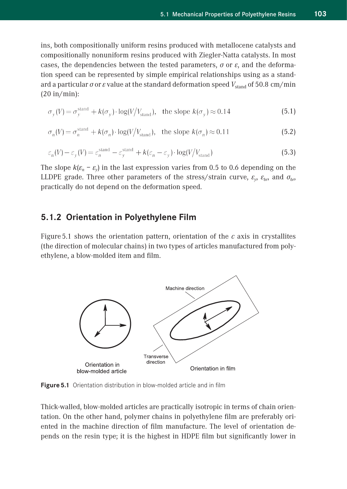ins, both compositionally uniform resins produced with metallocene catalysts and compositionally nonuniform resins produced with Ziegler-Natta catalysts. In most cases, the dependencies between the tested parameters, *σ* or *ε*, and the deformation speed can be represented by simple empirical relationships using as a standard a particular *σ* or *ε* value at the standard deformation speed  $V_{\text{stand}}$  of 50.8 cm/min  $(20 in/min):$ 

$$
\sigma_{v}(V) = \sigma_{v}^{\text{stand}} + k(\sigma_{v}) \cdot \log(V/V_{\text{stand}}), \text{ the slope } k(\sigma_{v}) \approx 0.14
$$
\n(5.1)

$$
\sigma_n(V) = \sigma_n^{\text{stand}} + k(\sigma_n) \cdot \log(V/V_{\text{stand}}), \quad \text{the slope } k(\sigma_n) \approx 0.11 \tag{5.2}
$$

$$
\varepsilon_n(V) - \varepsilon_y(V) = \varepsilon_n^{\text{stand}} - \varepsilon_y^{\text{stand}} + k(\varepsilon_n - \varepsilon_y) \cdot \log(V/V_{\text{stand}})
$$
\n(5.3)

The slope  $k(\varepsilon_n - \varepsilon_v)$  in the last expression varies from 0.5 to 0.6 depending on the LLDPE grade. Three other parameters of the stress/strain curve,  $\varepsilon_v$ ,  $\varepsilon_{br}$ , and  $\sigma_{br}$ practically do not depend on the deformation speed.

#### **5.1.2 Orientation in Polyethylene Film**

Figure 5.1 shows the orientation pattern, orientation of the *c* axis in crystallites (the direction of molecular chains) in two types of articles manufactured from polyethylene, a blow-molded item and film.



**Figure 5.1** Orientation distribution in blow-molded article and in film

Thick-walled, blow-molded articles are practically isotropic in terms of chain orientation. On the other hand, polymer chains in polyethylene film are preferably oriented in the machine direction of film manufacture. The level of orientation depends on the resin type; it is the highest in HDPE film but significantly lower in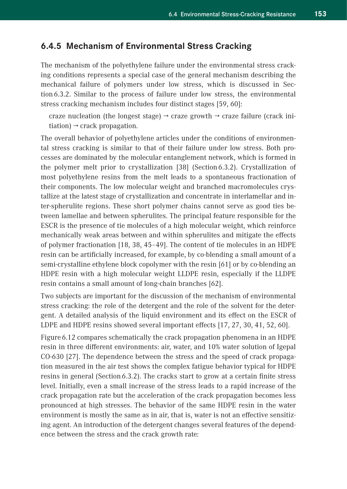#### **6.4.5 Mechanism of Environmental Stress Cracking**

The mechanism of the polyethylene failure under the environmental stress cracking conditions represents a special case of the general mechanism describing the mechanical failure of polymers under low stress, which is discussed in Section 6.3.2. Similar to the process of failure under low stress, the environmental stress cracking mechanism includes four distinct stages [59, 60]:

```
craze nucleation (the longest stage) \rightarrow craze growth \rightarrow craze failure (crack ini-
tiation) \rightarrow crack propagation.
```
The overall behavior of polyethylene articles under the conditions of environmental stress cracking is similar to that of their failure under low stress. Both processes are dominated by the molecular entanglement network, which is formed in the polymer melt prior to crystallization [38] (Section 6.3.2). Crystallization of most polyethylene resins from the melt leads to a spontaneous fractionation of their components. The low molecular weight and branched macromolecules crystallize at the latest stage of crystallization and concentrate in interlamellar and inter-spherulite regions. These short polymer chains cannot serve as good ties between lamellae and between spherulites. The principal feature responsible for the ESCR is the presence of tie molecules of a high molecular weight, which reinforce mechanically weak areas between and within spherulites and mitigate the effects of polymer fractionation [18, 38, 45–49]. The content of tie molecules in an HDPE resin can be artificially increased, for example, by co-blending a small amount of a semi-crystalline ethylene block copolymer with the resin [61] or by co-blending an HDPE resin with a high molecular weight LLDPE resin, especially if the LLDPE resin contains a small amount of long-chain branches [62].

Two subjects are important for the discussion of the mechanism of environmental stress cracking: the role of the detergent and the role of the solvent for the detergent. A detailed analysis of the liquid environment and its effect on the ESCR of LDPE and HDPE resins showed several important effects [17, 27, 30, 41, 52, 60].

Figure 6.12 compares schematically the crack propagation phenomena in an HDPE resin in three different environments: air, water, and 10% water solution of Igepal CO-630 [27]. The dependence between the stress and the speed of crack propagation measured in the air test shows the complex fatigue behavior typical for HDPE resins in general (Section 6.3.2). The cracks start to grow at a certain finite stress level. Initially, even a small increase of the stress leads to a rapid increase of the crack propagation rate but the acceleration of the crack propagation becomes less pronounced at high stresses. The behavior of the same HDPE resin in the water environment is mostly the same as in air, that is, water is not an effective sensitizing agent. An introduction of the detergent changes several features of the dependence between the stress and the crack growth rate: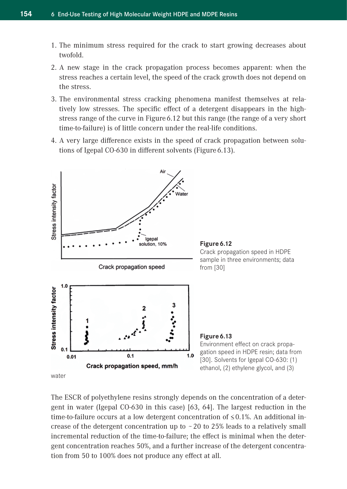- 1. The minimum stress required for the crack to start growing decreases about twofold.
- 2. A new stage in the crack propagation process becomes apparent: when the stress reaches a certain level, the speed of the crack growth does not depend on the stress.
- 3. The environmental stress cracking phenomena manifest themselves at relatively low stresses. The specific effect of a detergent disappears in the highstress range of the curve in Figure 6.12 but this range (the range of a very short time-to-failure) is of little concern under the real-life conditions.
- 4. A very large difference exists in the speed of crack propagation between solutions of Igepal CO-630 in different solvents (Figure 6.13).



The ESCR of polyethylene resins strongly depends on the concentration of a detergent in water (Igepal CO-630 in this case) [63, 64]. The largest reduction in the time-to-failure occurs at a low detergent concentration of  $\leq 0.1$ %. An additional increase of the detergent concentration up to  $~20$  to 25% leads to a relatively small incremental reduction of the time-to-failure; the effect is minimal when the detergent concentration reaches 50%, and a further increase of the detergent concentration from 50 to 100% does not produce any effect at all.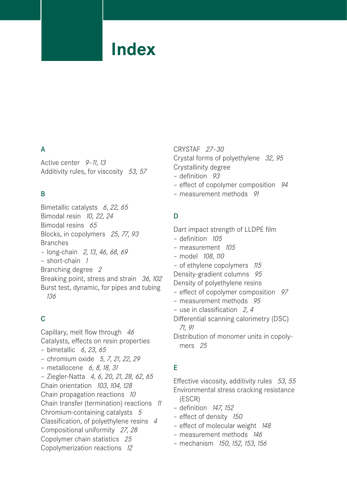### **Index**

#### A

Active center *9–11, 13* Additivity rules, for viscosity *53, 57*

#### B

Bimetallic catalysts *6, 22, 65* Bimodal resin *10, 22, 24* Bimodal resins *65* Blocks, in copolymers *25, 77, 93* Branches – long-chain *2, 13, 46, 68, 69* – short-chain *1* Branching degree *2* Breaking point, stress and strain *36, 102* Burst test, dynamic, for pipes and tubing *136*

#### C

Capillary, melt flow through *46* Catalysts, effects on resin properties – bimetallic *6, 23, 65* – chromium oxide *5, 7, 21, 22, 29* – metallocene *6, 8, 18, 31* – Ziegler-Natta *4, 6, 20, 21, 28, 62, 65* Chain orientation *103, 104, 128* Chain propagation reactions *10* Chain transfer (termination) reactions *11* Chromium-containing catalysts *5* Classification, of polyethylene resins *4* Compositional uniformity *27, 28* Copolymer chain statistics *25* Copolymerization reactions *12*

CRYSTAF *27–30* Crystal forms of polyethylene *32, 95* Crystallinity degree

- definition *93*
- effect of copolymer composition *94*
- measurement methods *91*

#### D

Dart impact strength of LLDPE film – definition *105*

- measurement *105*
- model *108, 110*
- of ethylene copolymers *115*
- Density-gradient columns *95*
- Density of polyethylene resins
- effect of copolymer composition *97*
- measurement methods *95*
- use in classification *2, 4*
- Differential scanning calorimetry (DSC) *71, 91*

Distribution of monomer units in copolymers *25*

#### E

Effective viscosity, additivity rules *53, 55* Environmental stress cracking resistance (ESCR)

- definition *147, 152*
- effect of density *150*
- effect of molecular weight *148*
- measurement methods *146*
- mechanism *150, 152, 153, 156*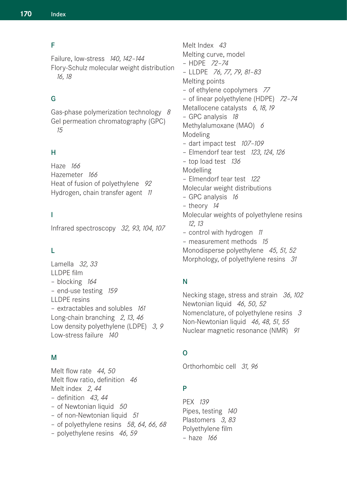#### F

Failure, low-stress *140, 142–144* Flory-Schulz molecular weight distribution *16, 18*

#### G

Gas-phase polymerization technology *8* Gel permeation chromatography (GPC) *15*

#### H

Haze *166* Hazemeter *166* Heat of fusion of polyethylene *92* Hydrogen, chain transfer agent *11*

#### I

Infrared spectroscopy *32, 93, 104, 107*

#### L

Lamella *32, 33* LLDPE film – blocking *164* – end-use testing *159* LLDPE resins – extractables and solubles *161* Long-chain branching *2, 13, 46* Low density polyethylene (LDPE) *3, 9* Low-stress failure *140*

#### M

Melt flow rate *44, 50* Melt flow ratio, definition *46* Melt index *2, 44* – definition *43, 44* – of Newtonian liquid *50* – of non-Newtonian liquid *51* – of polyethylene resins *58, 64, 66, 68* – polyethylene resins *46, 59*

Melt Index *43* Melting curve, model – HDPE *72–74* – LLDPE *76, 77, 79, 81–83* Melting points – of ethylene copolymers *77* – of linear polyethylene (HDPE) *72–74* Metallocene catalysts *6, 18, 19* – GPC analysis *18* Methylalumoxane (MAO) *6* Modeling – dart impact test *107–109* – Elmendorf tear test *123, 124, 126* – top load test *136* Modelling – Elmendorf tear test *122* Molecular weight distributions – GPC analysis *16* – theory *14* Molecular weights of polyethylene resins *12, 13* – control with hydrogen *11* – measurement methods *15* Monodisperse polyethylene *45, 51, 52* Morphology, of polyethylene resins *31*

#### N

Necking stage, stress and strain *36, 102* Newtonian liquid *46, 50, 52* Nomenclature, of polyethylene resins *3* Non-Newtonian liquid *46, 48, 51, 55* Nuclear magnetic resonance (NMR) *91*

#### O

Orthorhombic cell *31, 96*

#### P

PEX *139* Pipes, testing *140* Plastomers *3, 83* Polyethylene film – haze *166*